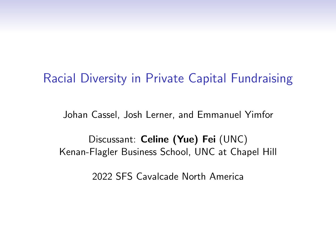# Racial Diversity in Private Capital Fundraising

Johan Cassel, Josh Lerner, and Emmanuel Yimfor

Discussant: Celine (Yue) Fei (UNC) Kenan-Flagler Business School, UNC at Chapel Hill

2022 SFS Cavalcade North America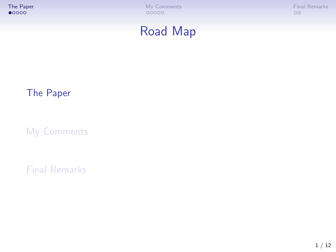<span id="page-1-0"></span>

# Road Map

## [The Paper](#page-1-0)

[My Comments](#page-6-0)

[Final Remarks](#page-11-0)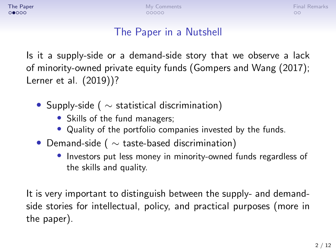### The Paper in a Nutshell

Is it a supply-side or a demand-side story that we observe a lack of minority-owned private equity funds (Gompers and Wang (2017); Lerner et al. (2019))?

- Supply-side ( $\sim$  statistical discrimination)
	- Skills of the fund managers;
	- Quality of the portfolio companies invested by the funds.
- Demand-side ( $\sim$  taste-based discrimination)
	- Investors put less money in minority-owned funds regardless of the skills and quality.

It is very important to distinguish between the supply- and demandside stories for intellectual, policy, and practical purposes (more in the paper).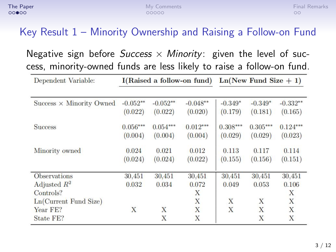## Key Result 1 – Minority Ownership and Raising a Follow-on Fund

Negative sign before Success  $\times$  Minority: given the level of success, minority-owned funds are less likely to raise a follow-on fund.

| Dependent Variable:             |            |            | I(Raised a follow-on fund) | $Ln(New Fund Size + 1)$ |            |            |
|---------------------------------|------------|------------|----------------------------|-------------------------|------------|------------|
|                                 |            |            |                            |                         |            |            |
| Success $\times$ Minority Owned | $-0.052**$ | $-0.052**$ | $-0.048**$                 | $-0.349*$               | $-0.349*$  | $-0.332**$ |
|                                 | (0.022)    | (0.022)    | (0.020)                    | (0.179)                 | (0.181)    | (0.165)    |
| <b>Success</b>                  | $0.056***$ | $0.054***$ | $0.012***$                 | $0.308***$              | $0.305***$ | $0.124***$ |
|                                 | (0.004)    | (0.004)    | (0.004)                    | (0.029)                 | (0.029)    | (0.023)    |
| Minority owned                  | 0.024      | 0.021      | 0.012                      | 0.113                   | 0.117      | 0.114      |
|                                 | (0.024)    | (0.024)    | (0.022)                    | (0.155)                 | (0.156)    | (0.151)    |
| <b>Observations</b>             | 30,451     | 30,451     | 30.451                     | 30.451                  | 30.451     | 30.451     |
| Adjusted $R^2$                  | 0.032      | 0.034      | 0.072                      | 0.049                   | 0.053      | 0.106      |
| Controls?                       |            |            | X                          |                         |            | X          |
| $Ln(Current$ Fund Size)         |            |            | X                          | X                       | X          | X          |
| Year FE?                        | X          | X          | X                          | X                       | X          | X          |
| State FE?                       |            | X          | X                          |                         | X          | X          |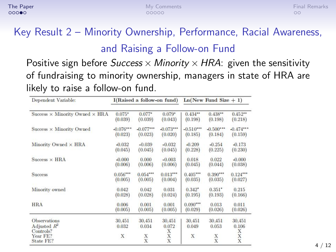# Key Result 2 – Minority Ownership, Performance, Racial Awareness, and Raising a Follow-on Fund

Positive sign before *Success*  $\times$  *Minority*  $\times$  *HRA*: given the sensitivity of fundraising to minority ownership, managers in state of HRA are likely to raise a follow-on fund.

| Dependent Variable:                                                         |                      | I(Raised a follow-on fund) |                                             | $Ln(New Fund Size + 1)$ |                           |                                             |  |
|-----------------------------------------------------------------------------|----------------------|----------------------------|---------------------------------------------|-------------------------|---------------------------|---------------------------------------------|--|
| Success $\times$ Minority Owned $\times$ HRA                                | $0.075*$             | $0.077*$                   | $0.079*$                                    | $0.434**$               | $0.438**$                 | $0.452**$                                   |  |
|                                                                             | (0.039)              | (0.039)                    | (0.043)                                     | (0.198)                 | (0.198)                   | (0.218)                                     |  |
| Success $\times$ Minority Owned                                             | $-0.076***$          | $-0.077***$                | $-0.073***$                                 | $-0.510***$             | $-0.500***$               | $-0.474***$                                 |  |
|                                                                             | (0.023)              | (0.023)                    | (0.020)                                     | (0.185)                 | (0.184)                   | (0.159)                                     |  |
| Minority Owned × HRA                                                        | $-0.032$             | $-0.039$                   | $-0.032$                                    | $-0.209$                | $-0.254$                  | $-0.173$                                    |  |
|                                                                             | (0.045)              | (0.045)                    | (0.045)                                     | (0.228)                 | (0.225)                   | (0.230)                                     |  |
| $Success \times HBA$                                                        | $-0.000$             | 0.000                      | $-0.003$                                    | 0.018                   | 0.022                     | $-0.000$                                    |  |
|                                                                             | (0.006)              | (0.006)                    | (0.006)                                     | (0.045)                 | (0.044)                   | (0.038)                                     |  |
| <b>Success</b>                                                              | $0.056***$           | $0.054***$                 | $0.013***$                                  | $0.405***$              | $0.390***$                | $0.124***$                                  |  |
|                                                                             | (0.005)              | (0.005)                    | (0.004)                                     | (0.035)                 | (0.035)                   | (0.027)                                     |  |
| Minority owned                                                              | 0.042                | 0.042                      | 0.031                                       | $0.342*$                | $0.351*$                  | 0.215                                       |  |
|                                                                             | (0.028)              | (0.028)                    | (0.024)                                     | (0.195)                 | (0.193)                   | (0.166)                                     |  |
| <b>HRA</b>                                                                  | 0.006                | 0.001                      | 0.001                                       | $0.090***$              | 0.013                     | 0.011                                       |  |
|                                                                             | (0.005)              | (0.005)                    | (0.005)                                     | (0.029)                 | (0.026)                   | (0.026)                                     |  |
| <b>Observations</b><br>Adjusted $R^2$<br>Controls?<br>Year FE?<br>State FE? | 30,451<br>0.032<br>X | 30,451<br>0.034<br>X<br>X  | 30.451<br>0.072<br>X<br>$\overline{X}$<br>X | 30,451<br>0.049<br>X    | 30,451<br>0.053<br>X<br>X | 30,451<br>0.106<br>X<br>X<br>$\overline{X}$ |  |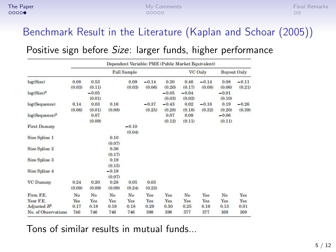### Benchmark Result in the Literature (Kaplan and Schoar (2005))

#### Positive sign before Size: larger funds, higher performance

|                            | Dependent Variable: PME (Public Market Equivalent) |                   |                   |                    |                   |                   |                   |                   |                   |                    |
|----------------------------|----------------------------------------------------|-------------------|-------------------|--------------------|-------------------|-------------------|-------------------|-------------------|-------------------|--------------------|
|                            |                                                    |                   |                   | <b>Full Sample</b> |                   |                   |                   | VC Only           |                   | <b>Buyout Only</b> |
| log(Size)                  | 0.08<br>(0.03)                                     | 0.53<br>(0.11)    |                   | 0.09<br>(0.03)     | $-0.14$<br>(0.06) | 0.30<br>(0.20)    | 0.46<br>(0.17)    | $-0.14$<br>(0.08) | 0.08<br>(0.06)    | $-0.11$<br>(0.21)  |
| $log(Size)^2$              |                                                    | $-0.05$<br>(0.01) |                   |                    |                   | $-0.05$<br>(0.03) | $-0.04$<br>(0.02) |                   | $-0.01$<br>(0.10) |                    |
| log(Sequence)              | 0.14<br>(0.06)                                     | 0.03<br>(0.01)    | 0.16<br>(0.08)    |                    | $-0.37$<br>(0.25) | $-0.43$<br>(0.28) | 0.02<br>(0.18)    | $-0.18$<br>(0.32) | 0.19<br>(0.20)    | $-0.26$<br>(0.39)  |
| log(Sequence) <sup>2</sup> |                                                    | 0.07<br>(0.09)    |                   |                    |                   | 0.07<br>(0.12)    | 0.09<br>(0.11)    |                   | $-0.06$<br>(0.11) |                    |
| <b>First Dummy</b>         |                                                    |                   |                   | $-0.10$<br>(0.04)  |                   |                   |                   |                   |                   |                    |
| Size Spline 1              |                                                    |                   | 0.10<br>(0.07)    |                    |                   |                   |                   |                   |                   |                    |
| Size Spline 2              |                                                    |                   | 0.36<br>(0.17)    |                    |                   |                   |                   |                   |                   |                    |
| Size Spline 3              |                                                    |                   | 0.19<br>(0.15)    |                    |                   |                   |                   |                   |                   |                    |
| <b>Size Spline 4</b>       |                                                    |                   | $-0.19$<br>(0.07) |                    |                   |                   |                   |                   |                   |                    |
| <b>VC Dummy</b>            | 0.24<br>(0.09)                                     | 0.20<br>(0.09)    | 0.28<br>(0.09)    | 0.05<br>(0.24)     | 0.03<br>(0.23)    |                   |                   |                   |                   |                    |
| Firm F.E.                  | N <sub>o</sub>                                     | No                | No                | No                 | Yes               | Yes               | No                | Yes               | No                | Yes                |
| Year F.E.                  | Yes                                                | Yes               | Yes               | Yes                | Yes               | Yes               | Yes               | Yes               | Yes               | Yes                |
| Adjusted $R^2$             | 0.17                                               | 0.18              | 0.19              | 0.18               | 0.29              | 0.30              | 0.25              | 0.16              | 0.13              | 0.01               |
| No. of Observations        | 746                                                | 746               | 746               | 746                | 398               | 398               | 577               | 577               | 169               | 169                |

Tons of similar results in mutual funds...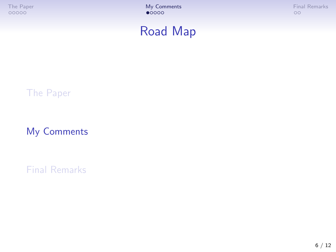<span id="page-6-0"></span>

# Road Map

#### [The Paper](#page-1-0)

[My Comments](#page-6-0)

[Final Remarks](#page-11-0)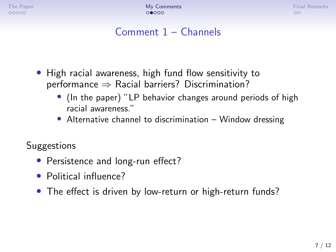## Comment 1 – Channels

- High racial awareness, high fund flow sensitivity to performance  $\Rightarrow$  Racial barriers? Discrimination?
	- (In the paper) "LP behavior changes around periods of high racial awareness."
	- Alternative channel to discrimination Window dressing

**Suggestions** 

- Persistence and long-run effect?
- Political influence?
- The effect is driven by low-return or high-return funds?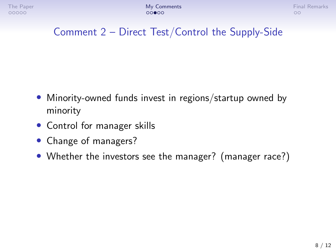## Comment 2 – Direct Test/Control the Supply-Side

- Minority-owned funds invest in regions/startup owned by minority
- Control for manager skills
- Change of managers?
- Whether the investors see the manager? (manager race?)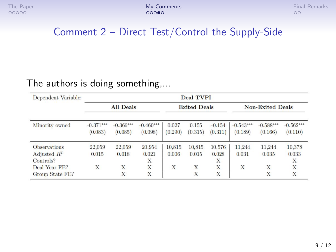### Comment 2 – Direct Test/Control the Supply-Side

#### The authors is doing something,...

| Dependent Variable:<br>Minority owned | <b>Deal TVPI</b>       |                        |                        |                     |                  |                     |                         |                        |                        |  |
|---------------------------------------|------------------------|------------------------|------------------------|---------------------|------------------|---------------------|-------------------------|------------------------|------------------------|--|
|                                       | <b>All Deals</b>       |                        |                        | <b>Exited Deals</b> |                  |                     | <b>Non-Exited Deals</b> |                        |                        |  |
|                                       | $-0.371***$<br>(0.083) | $-0.366***$<br>(0.085) | $-0.460***$<br>(0.098) | 0.027<br>(0.290)    | 0.155<br>(0.315) | $-0.154$<br>(0.311) | $-0.543***$<br>(0.189)  | $-0.588***$<br>(0.166) | $-0.562***$<br>(0.110) |  |
| <b>Observations</b>                   | 22,059                 | 22,059                 | 20.954                 | 10,815              | 10.815           | 10.576              | 11.244                  | 11.244                 | 10.378                 |  |
| Adjusted $R^2$                        | 0.015                  | 0.018                  | 0.021                  | 0.006               | 0.015            | 0.028               | 0.031                   | 0.035                  | 0.033                  |  |
| Controls?                             |                        |                        | X                      |                     |                  | X                   |                         |                        | Х                      |  |
| Deal Year FE?                         | X                      | X                      | X                      | X                   | X                | X                   | X                       | X                      | X                      |  |
| Group State FE?                       |                        | X                      | X                      |                     | X                | X                   |                         | X                      | X                      |  |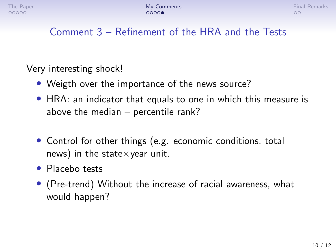## Comment 3 – Refinement of the HRA and the Tests

Very interesting shock!

- Weigth over the importance of the news source?
- HRA: an indicator that equals to one in which this measure is above the median – percentile rank?
- Control for other things (e.g. economic conditions, total news) in the state $\times$ year unit.
- Placebo tests
- (Pre-trend) Without the increase of racial awareness, what would happen?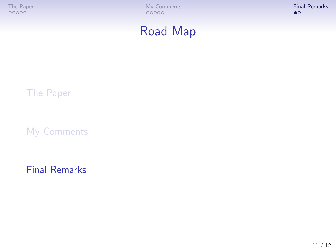<span id="page-11-0"></span>

# Road Map

#### [The Paper](#page-1-0)

[My Comments](#page-6-0)

[Final Remarks](#page-11-0)